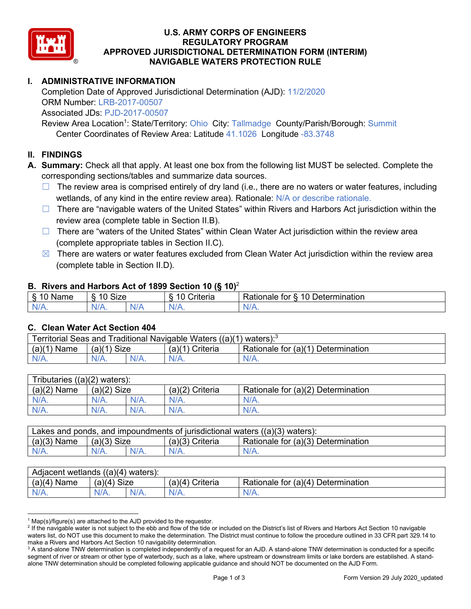

### **U.S. ARMY CORPS OF ENGINEERS REGULATORY PROGRAM APPROVED JURISDICTIONAL DETERMINATION FORM (INTERIM) NAVIGABLE WATERS PROTECTION RULE**

# **I. ADMINISTRATIVE INFORMATION**

Completion Date of Approved Jurisdictional Determination (AJD): 11/2/2020 ORM Number: LRB-2017-00507 Associated JDs: PJD-2017-00507

Review Area Location<sup>1</sup>: State/Territory: Ohio City: Tallmadge County/Parish/Borough: Summit Center Coordinates of Review Area: Latitude 41.1026 Longitude -83.3748

### **II. FINDINGS**

**A. Summary:** Check all that apply. At least one box from the following list MUST be selected. Complete the corresponding sections/tables and summarize data sources.

- $\Box$  The review area is comprised entirely of dry land (i.e., there are no waters or water features, including wetlands, of any kind in the entire review area). Rationale: N/A or describe rationale.
- $\Box$  There are "navigable waters of the United States" within Rivers and Harbors Act jurisdiction within the review area (complete table in Section II.B).
- ☐ There are "waters of the United States" within Clean Water Act jurisdiction within the review area (complete appropriate tables in Section II.C).
- $\boxtimes$  There are waters or water features excluded from Clean Water Act jurisdiction within the review area (complete table in Section II.D).

#### **B. Rivers and Harbors Act of 1899 Section 10 (§ 10)**<sup>2</sup>

| я<br><b></b><br>'vame'<br>υ<br>ູ | Size<br>$\overline{A}$ |     | $\overline{A}$ $\overline{C}$<br>`rıterıa | $\overline{\phantom{a}}$<br>10<br>Jetermination<br>$\sim$<br>tor<br>kationale: |  |  |
|----------------------------------|------------------------|-----|-------------------------------------------|--------------------------------------------------------------------------------|--|--|
| N/L                              | "<br>'V/A.             | NIA | N/L<br>97 / TV                            | <b>IIA</b><br>n.<br>11 I N.                                                    |  |  |

#### **C. Clean Water Act Section 404**

| Territorial Seas and Traditional Navigable Waters $((a)(1)$ waters): <sup>3</sup> |                |  |                       |                                    |  |  |
|-----------------------------------------------------------------------------------|----------------|--|-----------------------|------------------------------------|--|--|
| (a)(1)<br>Name                                                                    | Size<br>(a)(1) |  | (a)(1<br>(1) Criteria | Rationale for (a)(1) Determination |  |  |
|                                                                                   | $N/A$ .        |  | $N/A$ .               | $N/A$ .                            |  |  |

| Tributaries $((a)(2)$ waters): |               |         |                   |                                    |  |  |
|--------------------------------|---------------|---------|-------------------|------------------------------------|--|--|
| $(a)(2)$ Name                  | $(a)(2)$ Size |         | $(a)(2)$ Criteria | Rationale for (a)(2) Determination |  |  |
| $N/A$ .                        | $N/A$ .       | $N/A$ . | $N/A$ .           | $N/A$ .                            |  |  |
| $N/A$ .                        | $N/A$ .       | $N/A$ . | $N/A$ .           | $N/A$ .                            |  |  |

| Lakes and ponds, and impoundments of jurisdictional waters $((a)(3)$ waters): |               |  |                 |                                    |  |  |
|-------------------------------------------------------------------------------|---------------|--|-----------------|------------------------------------|--|--|
| $(a)(3)$ Name                                                                 | $(a)(3)$ Size |  | (a)(3) Criteria | Rationale for (a)(3) Determination |  |  |
| $N/A$ .                                                                       | $N/A$ .       |  | $N/A$ .         | $N/A$ .                            |  |  |

| Adjacent wetlands $((a)(4)$ waters): |               |         |                   |                                    |  |  |
|--------------------------------------|---------------|---------|-------------------|------------------------------------|--|--|
| $(a)(4)$ Name                        | $(a)(4)$ Size |         | $(a)(4)$ Criteria | Rationale for (a)(4) Determination |  |  |
| $N/A$ .                              | $N/A$ .       | $N/A$ . | $N/A$ .           | $N/A$ .                            |  |  |

 $1$  Map(s)/figure(s) are attached to the AJD provided to the requestor.

<sup>&</sup>lt;sup>2</sup> If the navigable water is not subject to the ebb and flow of the tide or included on the District's list of Rivers and Harbors Act Section 10 navigable waters list, do NOT use this document to make the determination. The District must continue to follow the procedure outlined in 33 CFR part 329.14 to make a Rivers and Harbors Act Section 10 navigability determination.

<sup>&</sup>lt;sup>3</sup> A stand-alone TNW determination is completed independently of a request for an AJD. A stand-alone TNW determination is conducted for a specific segment of river or stream or other type of waterbody, such as a lake, where upstream or downstream limits or lake borders are established. A standalone TNW determination should be completed following applicable guidance and should NOT be documented on the AJD Form.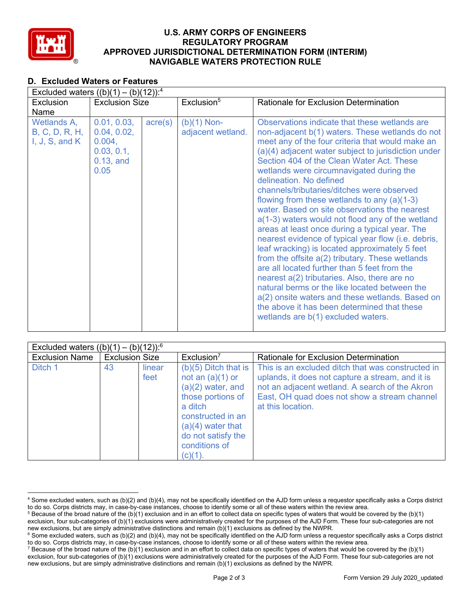

### **U.S. ARMY CORPS OF ENGINEERS REGULATORY PROGRAM APPROVED JURISDICTIONAL DETERMINATION FORM (INTERIM) NAVIGABLE WATERS PROTECTION RULE**

### **D. Excluded Waters or Features**

| Excluded waters $((b)(1) - (b)(12))$ : <sup>4</sup>     |                                                                            |                  |                                    |                                                                                                                                                                                                                                                                                                                                                                                                                                                                                                                                                                                                                                                                                                                                                                                                                                                                                                                                                                                                                                            |  |  |
|---------------------------------------------------------|----------------------------------------------------------------------------|------------------|------------------------------------|--------------------------------------------------------------------------------------------------------------------------------------------------------------------------------------------------------------------------------------------------------------------------------------------------------------------------------------------------------------------------------------------------------------------------------------------------------------------------------------------------------------------------------------------------------------------------------------------------------------------------------------------------------------------------------------------------------------------------------------------------------------------------------------------------------------------------------------------------------------------------------------------------------------------------------------------------------------------------------------------------------------------------------------------|--|--|
| Exclusion                                               | <b>Exclusion Size</b>                                                      |                  | Exclusion <sup>5</sup>             | <b>Rationale for Exclusion Determination</b>                                                                                                                                                                                                                                                                                                                                                                                                                                                                                                                                                                                                                                                                                                                                                                                                                                                                                                                                                                                               |  |  |
| Name                                                    |                                                                            |                  |                                    |                                                                                                                                                                                                                                                                                                                                                                                                                                                                                                                                                                                                                                                                                                                                                                                                                                                                                                                                                                                                                                            |  |  |
| Wetlands A,<br>B, C, D, R, H,<br>I, $J$ , $S$ , and $K$ | 0.01, 0.03,<br>0.04, 0.02,<br>0.004,<br>0.03, 0.1,<br>$0.13$ , and<br>0.05 | $\text{acre}(s)$ | $(b)(1)$ Non-<br>adjacent wetland. | Observations indicate that these wetlands are<br>non-adjacent b(1) waters. These wetlands do not<br>meet any of the four criteria that would make an<br>(a)(4) adjacent water subject to jurisdiction under<br>Section 404 of the Clean Water Act. These<br>wetlands were circumnavigated during the<br>delineation. No defined<br>channels/tributaries/ditches were observed<br>flowing from these wetlands to any $(a)(1-3)$<br>water. Based on site observations the nearest<br>a(1-3) waters would not flood any of the wetland<br>areas at least once during a typical year. The<br>nearest evidence of typical year flow (i.e. debris,<br>leaf wracking) is located approximately 5 feet<br>from the offsite a(2) tributary. These wetlands<br>are all located further than 5 feet from the<br>nearest a(2) tributaries. Also, there are no<br>natural berms or the like located between the<br>a(2) onsite waters and these wetlands. Based on<br>the above it has been determined that these<br>wetlands are b(1) excluded waters. |  |  |

| Excluded waters $((b)(1) - (b)(12))$ : <sup>6</sup> |                       |                |                                                                                                                                                                                                   |                                                                                                                                                                                                                              |  |
|-----------------------------------------------------|-----------------------|----------------|---------------------------------------------------------------------------------------------------------------------------------------------------------------------------------------------------|------------------------------------------------------------------------------------------------------------------------------------------------------------------------------------------------------------------------------|--|
| <b>Exclusion Name</b>                               | <b>Exclusion Size</b> |                | Exclusion <sup>7</sup>                                                                                                                                                                            | Rationale for Exclusion Determination                                                                                                                                                                                        |  |
| Ditch 1                                             | 43                    | linear<br>feet | $(b)(5)$ Ditch that is<br>not an $(a)(1)$ or<br>$(a)(2)$ water, and<br>those portions of<br>a ditch<br>constructed in an<br>$(a)(4)$ water that<br>do not satisfy the<br>conditions of<br>(c)(1). | This is an excluded ditch that was constructed in<br>uplands, it does not capture a stream, and it is<br>not an adjacent wetland. A search of the Akron<br>East, OH quad does not show a stream channel<br>at this location. |  |

<sup>4</sup> Some excluded waters, such as (b)(2) and (b)(4), may not be specifically identified on the AJD form unless a requestor specifically asks a Corps district to do so. Corps districts may, in case-by-case instances, choose to identify some or all of these waters within the review area.

 $5$  Because of the broad nature of the (b)(1) exclusion and in an effort to collect data on specific types of waters that would be covered by the (b)(1) exclusion, four sub-categories of (b)(1) exclusions were administratively created for the purposes of the AJD Form. These four sub-categories are not

new exclusions, but are simply administrative distinctions and remain (b)(1) exclusions as defined by the NWPR. <sup>6</sup> Some excluded waters, such as (b)(2) and (b)(4), may not be specifically identified on the AJD form unless a requestor specifically asks a Corps district to do so. Corps districts may, in case-by-case instances, choose to identify some or all of these waters within the review area.

<sup>&</sup>lt;sup>7</sup> Because of the broad nature of the (b)(1) exclusion and in an effort to collect data on specific types of waters that would be covered by the (b)(1) exclusion, four sub-categories of (b)(1) exclusions were administratively created for the purposes of the AJD Form. These four sub-categories are not new exclusions, but are simply administrative distinctions and remain (b)(1) exclusions as defined by the NWPR.